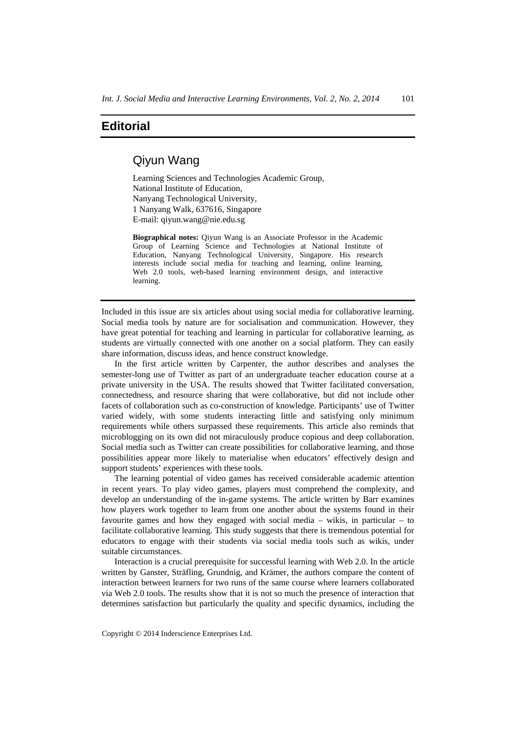## **Editorial**

## Qiyun Wang

Learning Sciences and Technologies Academic Group, National Institute of Education, Nanyang Technological University, 1 Nanyang Walk, 637616, Singapore E-mail: qiyun.wang@nie.edu.sg

**Biographical notes:** Qiyun Wang is an Associate Professor in the Academic Group of Learning Science and Technologies at National Institute of Education, Nanyang Technological University, Singapore. His research interests include social media for teaching and learning, online learning, Web 2.0 tools, web-based learning environment design, and interactive learning.

Included in this issue are six articles about using social media for collaborative learning. Social media tools by nature are for socialisation and communication. However, they have great potential for teaching and learning in particular for collaborative learning, as students are virtually connected with one another on a social platform. They can easily share information, discuss ideas, and hence construct knowledge.

In the first article written by Carpenter, the author describes and analyses the semester-long use of Twitter as part of an undergraduate teacher education course at a private university in the USA. The results showed that Twitter facilitated conversation, connectedness, and resource sharing that were collaborative, but did not include other facets of collaboration such as co-construction of knowledge. Participants' use of Twitter varied widely, with some students interacting little and satisfying only minimum requirements while others surpassed these requirements. This article also reminds that microblogging on its own did not miraculously produce copious and deep collaboration. Social media such as Twitter can create possibilities for collaborative learning, and those possibilities appear more likely to materialise when educators' effectively design and support students' experiences with these tools.

The learning potential of video games has received considerable academic attention in recent years. To play video games, players must comprehend the complexity, and develop an understanding of the in-game systems. The article written by Barr examines how players work together to learn from one another about the systems found in their favourite games and how they engaged with social media – wikis, in particular – to facilitate collaborative learning. This study suggests that there is tremendous potential for educators to engage with their students via social media tools such as wikis, under suitable circumstances.

Interaction is a crucial prerequisite for successful learning with Web 2.0. In the article written by Ganster, Sträfling, Grundnig, and Krämer, the authors compare the content of interaction between learners for two runs of the same course where learners collaborated via Web 2.0 tools. The results show that it is not so much the presence of interaction that determines satisfaction but particularly the quality and specific dynamics, including the